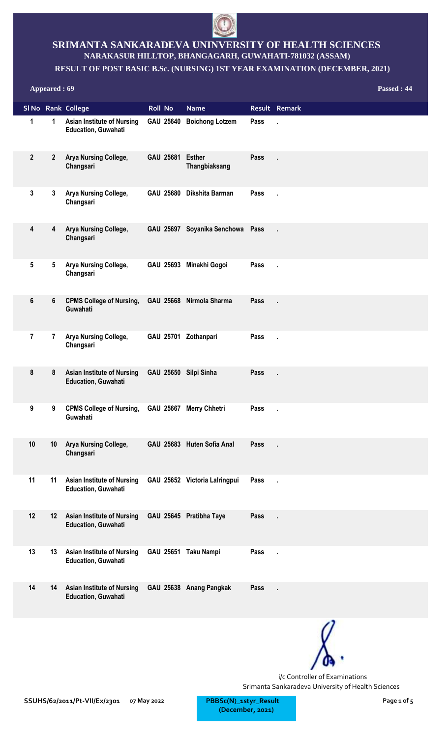

## **SRIMANTA SANKARADEVA UNINVERSITY OF HEALTH SCIENCES NARAKASUR HILLTOP, BHANGAGARH, GUWAHATI-781032 (ASSAM)**

## **RESULT OF POST BASIC B.Sc. (NURSING) 1ST YEAR EXAMINATION (DECEMBER, 2021)**

**Appeared : 69 Passed : 44 Sl No Rank College Roll No Name Result Remark Asian Institute of Nursing Education, Guwahati 1 1 Boichong Lotzem Pass . Arya Nursing College, GAU 25681 Changsari Esther Pass . Thangbiaksang 2 2 Arya Nursing College, Changsari 3 3 Dikshita Barman Pass . Arya Nursing College, Changsari 4 4 Soyanika Senchowa Pass . Arya Nursing College, Changsari 5 5 Minakhi Gogoi Pass . CPMS College of Nursing, GAU 25668 6 6 Nirmola Sharma Pass . Guwahati Arya Nursing College, Changsari 7 7 Zothanpari Pass . Asian Institute of Nursing GAU 25650 8 8 Silpi Sinha Pass . Education, Guwahati CPMS College of Nursing, GAU 25667 9 9 Merry Chhetri Pass . Guwahati Arya Nursing College, Changsari** 10 **10 Arya Nursing College, GAU 25683 Huten Sofia Anal Pass Asian Institute of Nursing Education, Guwahati** 11 **11** Asian Institute of Nursing GAU 25652 Victoria Lalringpui Pass **Asian Institute of Nursing Education, Guwahati 12 12 Pratibha Taye Pass . Asian Institute of Nursing GAU 25651 13 13 Taku Nampi Pass . Education, Guwahati Asian Institute of Nursing Education, Guwahati** 14 14 Asian Institute of Nursing GAU 25638 Anang Pangkak Pass



i/c Controller of Examinations Srimanta Sankaradeva University of Health Sciences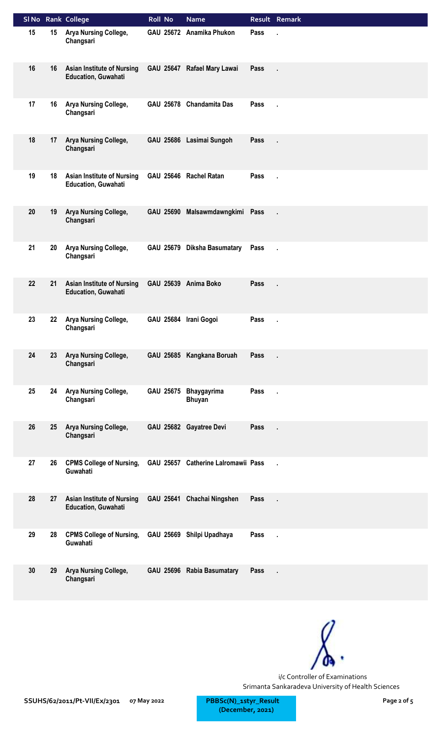|    |    | SI No Rank College                                              | <b>Roll No</b>        | <b>Name</b>                         |      | Result Remark |
|----|----|-----------------------------------------------------------------|-----------------------|-------------------------------------|------|---------------|
| 15 | 15 | Arya Nursing College,<br>Changsari                              |                       | GAU 25672 Anamika Phukon            | Pass |               |
| 16 | 16 | <b>Asian Institute of Nursing</b><br><b>Education, Guwahati</b> |                       | GAU 25647 Rafael Mary Lawai         | Pass |               |
| 17 | 16 | Arya Nursing College,<br>Changsari                              |                       | GAU 25678 Chandamita Das            | Pass |               |
| 18 | 17 | Arya Nursing College,<br>Changsari                              |                       | GAU 25686 Lasimai Sungoh            | Pass |               |
| 19 | 18 | <b>Asian Institute of Nursing</b><br><b>Education, Guwahati</b> |                       | GAU 25646 Rachel Ratan              | Pass | ä,            |
| 20 | 19 | Arya Nursing College,<br>Changsari                              |                       | GAU 25690 Malsawmdawngkimi Pass     |      | ä,            |
| 21 | 20 | Arya Nursing College,<br>Changsari                              |                       | GAU 25679 Diksha Basumatary         | Pass |               |
| 22 | 21 | <b>Asian Institute of Nursing</b><br><b>Education, Guwahati</b> |                       | GAU 25639 Anima Boko                | Pass |               |
| 23 | 22 | Arya Nursing College,<br>Changsari                              | GAU 25684 Irani Gogoi |                                     | Pass | ×             |
| 24 | 23 | Arya Nursing College,<br>Changsari                              |                       | GAU 25685 Kangkana Boruah           | Pass |               |
| 25 | 24 | Arya Nursing College,<br>Changsari                              | GAU 25675             | Bhaygayrima<br><b>Bhuyan</b>        | Pass | ä,            |
| 26 | 25 | Arya Nursing College,<br>Changsari                              |                       | GAU 25682 Gayatree Devi             | Pass | ä,            |
| 27 | 26 | <b>CPMS College of Nursing,</b><br>Guwahati                     |                       | GAU 25657 Catherine Lalromawii Pass |      | $\mathbf{r}$  |
| 28 | 27 | <b>Asian Institute of Nursing</b><br><b>Education, Guwahati</b> |                       | GAU 25641 Chachai Ningshen          | Pass |               |
| 29 | 28 | <b>CPMS College of Nursing,</b><br>Guwahati                     |                       | GAU 25669 Shilpi Upadhaya           | Pass | k,            |
| 30 | 29 | Arya Nursing College,<br>Changsari                              |                       | GAU 25696 Rabia Basumatary          | Pass | ×,            |

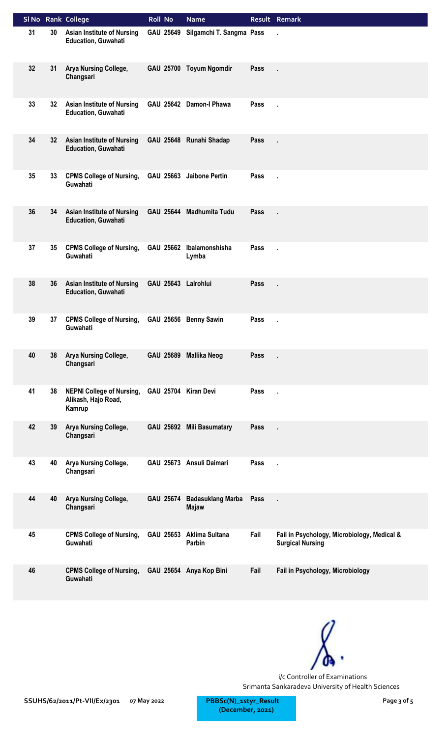|    |    | SI No Rank College                                                | <b>Roll No</b>       | <b>Name</b>                              |      | Result Remark                                                          |
|----|----|-------------------------------------------------------------------|----------------------|------------------------------------------|------|------------------------------------------------------------------------|
| 31 | 30 | <b>Asian Institute of Nursing</b><br><b>Education, Guwahati</b>   | GAU 25649            | Silgamchi T. Sangma Pass                 |      | ×,                                                                     |
| 32 | 31 | Arya Nursing College,<br>Changsari                                |                      | GAU 25700 Toyum Ngomdir                  | Pass |                                                                        |
| 33 | 32 | <b>Asian Institute of Nursing</b><br><b>Education, Guwahati</b>   |                      | GAU 25642 Damon-I Phawa                  | Pass |                                                                        |
| 34 | 32 | <b>Asian Institute of Nursing</b><br><b>Education, Guwahati</b>   |                      | GAU 25648 Runahi Shadap                  | Pass |                                                                        |
| 35 | 33 | <b>CPMS College of Nursing,</b><br>Guwahati                       |                      | GAU 25663 Jaibone Pertin                 | Pass | Ŷ.                                                                     |
| 36 | 34 | <b>Asian Institute of Nursing</b><br><b>Education, Guwahati</b>   |                      | GAU 25644 Madhumita Tudu                 | Pass | l,                                                                     |
| 37 | 35 | <b>CPMS College of Nursing,</b><br>Guwahati                       | GAU 25662            | Ibalamonshisha<br>Lymba                  | Pass |                                                                        |
| 38 | 36 | <b>Asian Institute of Nursing</b><br><b>Education, Guwahati</b>   | GAU 25643 Lalrohlui  |                                          | Pass |                                                                        |
| 39 | 37 | <b>CPMS College of Nursing,</b><br>Guwahati                       |                      | GAU 25656 Benny Sawin                    | Pass | ×,                                                                     |
| 40 | 38 | Arya Nursing College,<br>Changsari                                | <b>GAU 25689</b>     | <b>Mallika Neog</b>                      | Pass |                                                                        |
| 41 | 38 | <b>NEPNI College of Nursing,</b><br>Alikash, Hajo Road,<br>Kamrup | GAU 25704 Kiran Devi |                                          | Pass | ä,                                                                     |
| 42 | 39 | Arya Nursing College,<br>Changsari                                |                      | GAU 25692 Mili Basumatary                | Pass | ÷.                                                                     |
| 43 | 40 | Arya Nursing College,<br>Changsari                                |                      | GAU 25673 Ansuli Daimari                 | Pass | ä,                                                                     |
| 44 | 40 | Arya Nursing College,<br>Changsari                                | <b>GAU 25674</b>     | <b>Badasuklang Marba</b><br><b>Majaw</b> | Pass | J.                                                                     |
| 45 |    | <b>CPMS College of Nursing,</b><br>Guwahati                       | GAU 25653            | Aklima Sultana<br>Parbin                 | Fail | Fail in Psychology, Microbiology, Medical &<br><b>Surgical Nursing</b> |
| 46 |    | <b>CPMS College of Nursing,</b><br>Guwahati                       |                      | GAU 25654 Anya Kop Bini                  | Fail | Fail in Psychology, Microbiology                                       |



**07 May 2022 Page 3 of 5 (December, 2021)**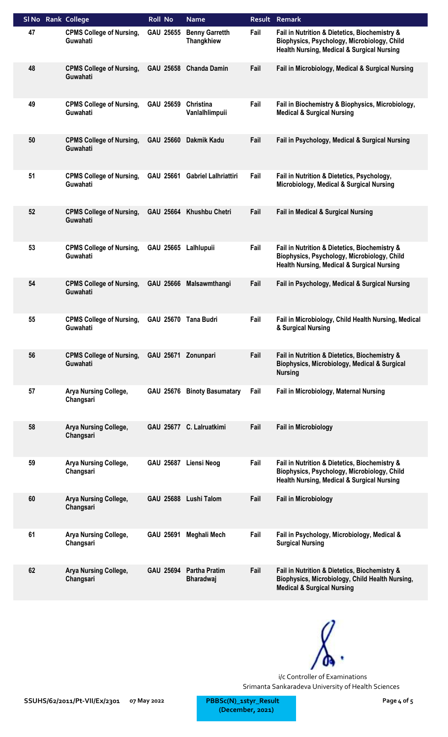| SI No Rank College |                                             | <b>Roll No</b>       | <b>Name</b>                                |      | <b>Result Remark</b>                                                                                                                                  |
|--------------------|---------------------------------------------|----------------------|--------------------------------------------|------|-------------------------------------------------------------------------------------------------------------------------------------------------------|
| 47                 | <b>CPMS College of Nursing,</b><br>Guwahati | GAU 25655            | <b>Benny Garretth</b><br><b>Thangkhiew</b> | Fail | Fail in Nutrition & Dietetics, Biochemistry &<br>Biophysics, Psychology, Microbiology, Child<br><b>Health Nursing, Medical &amp; Surgical Nursing</b> |
| 48                 | <b>CPMS College of Nursing,</b><br>Guwahati | <b>GAU 25658</b>     | <b>Chanda Damin</b>                        | Fail | Fail in Microbiology, Medical & Surgical Nursing                                                                                                      |
| 49                 | <b>CPMS College of Nursing,</b><br>Guwahati | GAU 25659            | Christina<br>Vanlalhlimpuii                | Fail | Fail in Biochemistry & Biophysics, Microbiology,<br><b>Medical &amp; Surgical Nursing</b>                                                             |
| 50                 | <b>CPMS College of Nursing,</b><br>Guwahati | GAU 25660            | Dakmik Kadu                                | Fail | Fail in Psychology, Medical & Surgical Nursing                                                                                                        |
| 51                 | <b>CPMS College of Nursing,</b><br>Guwahati | GAU 25661            | <b>Gabriel Lalhriattiri</b>                | Fail | Fail in Nutrition & Dietetics, Psychology,<br>Microbiology, Medical & Surgical Nursing                                                                |
| 52                 | <b>CPMS College of Nursing,</b><br>Guwahati | GAU 25664            | <b>Khushbu Chetri</b>                      | Fail | <b>Fail in Medical &amp; Surgical Nursing</b>                                                                                                         |
| 53                 | <b>CPMS College of Nursing,</b><br>Guwahati | <b>GAU 25665</b>     | Lalhlupuii                                 | Fail | Fail in Nutrition & Dietetics, Biochemistry &<br>Biophysics, Psychology, Microbiology, Child<br><b>Health Nursing, Medical &amp; Surgical Nursing</b> |
| 54                 | <b>CPMS College of Nursing,</b><br>Guwahati | GAU 25666            | Malsawmthangi                              | Fail | Fail in Psychology, Medical & Surgical Nursing                                                                                                        |
| 55                 | <b>CPMS College of Nursing,</b><br>Guwahati | GAU 25670 Tana Budri |                                            | Fail | Fail in Microbiology, Child Health Nursing, Medical<br>& Surgical Nursing                                                                             |
| 56                 | <b>CPMS College of Nursing,</b><br>Guwahati | <b>GAU 25671</b>     | Zonunpari                                  | Fail | Fail in Nutrition & Dietetics, Biochemistry &<br>Biophysics, Microbiology, Medical & Surgical<br><b>Nursing</b>                                       |
| 57                 | Arya Nursing College,<br>Changsari          | <b>GAU 25676</b>     | <b>Binoty Basumatary</b>                   | Fail | Fail in Microbiology, Maternal Nursing                                                                                                                |
| 58                 | <b>Arya Nursing College,</b><br>Changsari   |                      | GAU 25677 C. Lalruatkimi                   | Fail | <b>Fail in Microbiology</b>                                                                                                                           |
| 59                 | <b>Arya Nursing College,</b><br>Changsari   | <b>GAU 25687</b>     | Liensi Neog                                | Fail | Fail in Nutrition & Dietetics, Biochemistry &<br>Biophysics, Psychology, Microbiology, Child<br><b>Health Nursing, Medical &amp; Surgical Nursing</b> |
| 60                 | Arya Nursing College,<br>Changsari          |                      | GAU 25688 Lushi Talom                      | Fail | <b>Fail in Microbiology</b>                                                                                                                           |
| 61                 | Arya Nursing College,<br>Changsari          | GAU 25691            | Meghali Mech                               | Fail | Fail in Psychology, Microbiology, Medical &<br><b>Surgical Nursing</b>                                                                                |
| 62                 | Arya Nursing College,<br>Changsari          | <b>GAU 25694</b>     | <b>Partha Pratim</b><br><b>Bharadwaj</b>   | Fail | Fail in Nutrition & Dietetics, Biochemistry &<br>Biophysics, Microbiology, Child Health Nursing,<br><b>Medical &amp; Surgical Nursing</b>             |